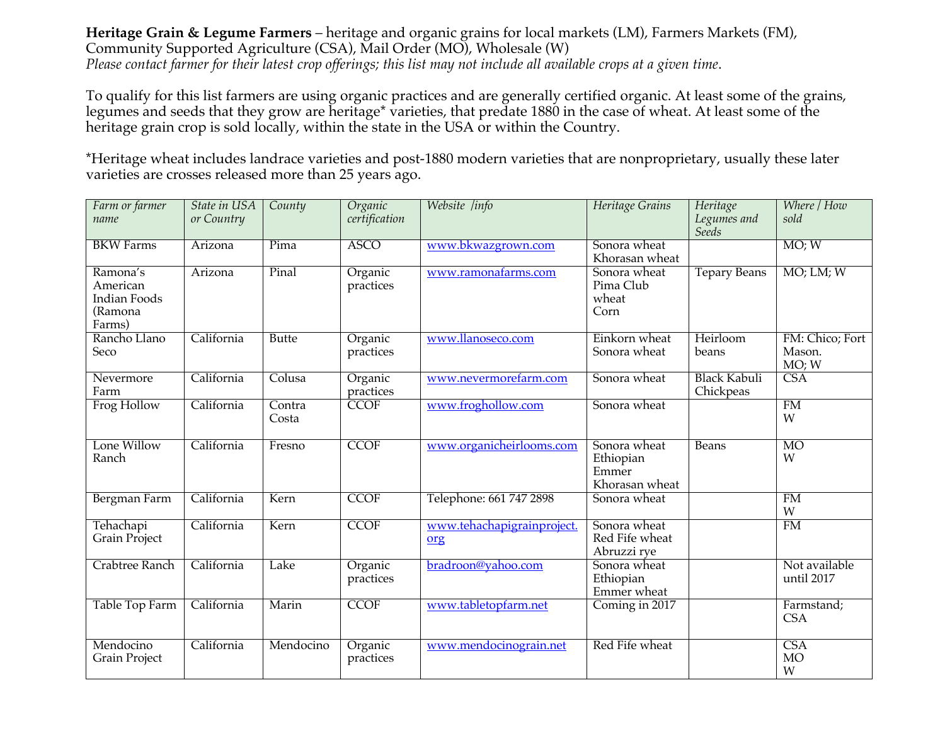## **Heritage Grain & Legume Farmers** – heritage and organic grains for local markets (LM), Farmers Markets (FM), Community Supported Agriculture (CSA), Mail Order (MO), Wholesale (W) *Please contact farmer for their latest crop offerings; this list may not include all available crops at a given time*.

To qualify for this list farmers are using organic practices and are generally certified organic. At least some of the grains, legumes and seeds that they grow are heritage\* varieties, that predate 1880 in the case of wheat. At least some of the heritage grain crop is sold locally, within the state in the USA or within the Country.

\*Heritage wheat includes landrace varieties and post-1880 modern varieties that are nonproprietary, usually these later varieties are crosses released more than 25 years ago.

| Farm or farmer<br>name                                           | State in USA<br>or Country | County          | Organic<br>certification | Website /info                     | Heritage Grains                                      | Heritage<br>Legumes and<br><b>Seeds</b> | Where / How<br>sold                |
|------------------------------------------------------------------|----------------------------|-----------------|--------------------------|-----------------------------------|------------------------------------------------------|-----------------------------------------|------------------------------------|
| <b>BKW</b> Farms                                                 | Arizona                    | Pima            | <b>ASCO</b>              | www.bkwazgrown.com                | Sonora wheat<br>Khorasan wheat                       |                                         | MO; W                              |
| Ramona's<br>American<br><b>Indian Foods</b><br>(Ramona<br>Farms) | Arizona                    | Pinal           | Organic<br>practices     | www.ramonafarms.com               | Sonora wheat<br>Pima Club<br>wheat<br>Corn           | <b>Tepary Beans</b>                     | $MO$ ; LM; $W$                     |
| Rancho Llano<br>Seco                                             | California                 | <b>Butte</b>    | Organic<br>practices     | www.llanoseco.com                 | Einkorn wheat<br>Sonora wheat                        | Heirloom<br>beans                       | FM: Chico; Fort<br>Mason.<br>MO; W |
| Nevermore<br>Farm                                                | California                 | Colusa          | Organic<br>practices     | www.nevermorefarm.com             | Sonora wheat                                         | <b>Black Kabuli</b><br>Chickpeas        | <b>CSA</b>                         |
| Frog Hollow                                                      | California                 | Contra<br>Costa | <b>CCOF</b>              | www.froghollow.com                | Sonora wheat                                         |                                         | <b>FM</b><br>W                     |
| Lone Willow<br>Ranch                                             | California                 | Fresno          | <b>CCOF</b>              | www.organicheirlooms.com          | Sonora wheat<br>Ethiopian<br>Emmer<br>Khorasan wheat | <b>Beans</b>                            | MO<br>W                            |
| Bergman Farm                                                     | California                 | Kern            | <b>CCOF</b>              | Telephone: 661 747 2898           | Sonora wheat                                         |                                         | FM<br>W                            |
| Tehachapi<br>Grain Project                                       | California                 | Kern            | <b>CCOF</b>              | www.tehachapigrainproject.<br>org | Sonora wheat<br>Red Fife wheat<br>Abruzzi rye        |                                         | FM                                 |
| <b>Crabtree Ranch</b>                                            | California                 | Lake            | Organic<br>practices     | bradroon@yahoo.com                | Sonora wheat<br>Ethiopian<br>Emmer wheat             |                                         | Not available<br>until 2017        |
| Table Top Farm                                                   | California                 | Marin           | <b>CCOF</b>              | www.tabletopfarm.net              | Coming in 2017                                       |                                         | Farmstand;<br><b>CSA</b>           |
| Mendocino<br><b>Grain Project</b>                                | California                 | Mendocino       | Organic<br>practices     | www.mendocinograin.net            | Red Fife wheat                                       |                                         | <b>CSA</b><br><b>MO</b><br>W       |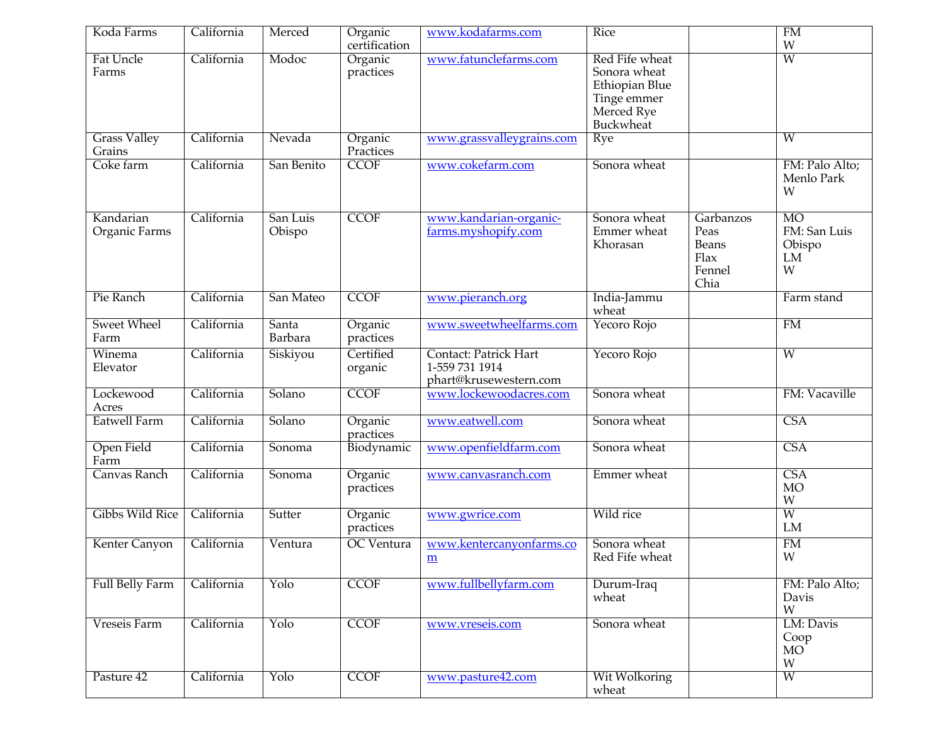| Koda Farms                    | California | Merced             | Organic              | www.kodafarms.com                                                 | Rice                                                                                       |                                                      | FM                                             |
|-------------------------------|------------|--------------------|----------------------|-------------------------------------------------------------------|--------------------------------------------------------------------------------------------|------------------------------------------------------|------------------------------------------------|
|                               |            |                    | certification        |                                                                   |                                                                                            |                                                      | W                                              |
| <b>Fat Uncle</b><br>Farms     | California | Modoc              | Organic<br>practices | www.fatunclefarms.com                                             | Red Fife wheat<br>Sonora wheat<br>Ethiopian Blue<br>Tinge emmer<br>Merced Rye<br>Buckwheat |                                                      | W                                              |
| <b>Grass Valley</b><br>Grains | California | Nevada             | Organic<br>Practices | www.grassvalleygrains.com                                         | <b>Rye</b>                                                                                 |                                                      | $\overline{W}$                                 |
| Coke farm                     | California | San Benito         | <b>CCOF</b>          | www.cokefarm.com                                                  | Sonora wheat                                                                               |                                                      | FM: Palo Alto;<br>Menlo Park<br>W              |
| Kandarian<br>Organic Farms    | California | San Luis<br>Obispo | <b>CCOF</b>          | www.kandarian-organic-<br>farms.myshopify.com                     | Sonora wheat<br>Emmer wheat<br>Khorasan                                                    | Garbanzos<br>Peas<br>Beans<br>Flax<br>Fennel<br>Chia | <b>MO</b><br>FM: San Luis<br>Obispo<br>LM<br>W |
| Pie Ranch                     | California | San Mateo          | <b>CCOF</b>          | www.pieranch.org                                                  | India-Jammu<br>wheat                                                                       |                                                      | Farm stand                                     |
| <b>Sweet Wheel</b><br>Farm    | California | Santa<br>Barbara   | Organic<br>practices | www.sweetwheelfarms.com                                           | Yecoro Rojo                                                                                |                                                      | FM                                             |
| Winema<br>Elevator            | California | Siskiyou           | Certified<br>organic | Contact: Patrick Hart<br>1-559 731 1914<br>phart@krusewestern.com | Yecoro Rojo                                                                                |                                                      | W                                              |
| Lockewood<br>Acres            | California | Solano             | <b>CCOF</b>          | www.lockewoodacres.com                                            | Sonora wheat                                                                               |                                                      | FM: Vacaville                                  |
| Eatwell Farm                  | California | Solano             | Organic<br>practices | www.eatwell.com                                                   | Sonora wheat                                                                               |                                                      | <b>CSA</b>                                     |
| Open Field<br>Farm            | California | Sonoma             | Biodynamic           | www.openfieldfarm.com                                             | Sonora wheat                                                                               |                                                      | <b>CSA</b>                                     |
| Canvas Ranch                  | California | Sonoma             | Organic<br>practices | www.canvasranch.com                                               | Emmer wheat                                                                                |                                                      | <b>CSA</b><br><b>MO</b><br>W                   |
| <b>Gibbs Wild Rice</b>        | California | Sutter             | Organic<br>practices | www.gwrice.com                                                    | Wild rice                                                                                  |                                                      | W<br>LM                                        |
| Kenter Canyon                 | California | Ventura            | <b>OC</b> Ventura    | www.kentercanyonfarms.co<br>m                                     | Sonora wheat<br>Red Fife wheat                                                             |                                                      | FM<br>W                                        |
| Full Belly Farm               | California | Yolo               | <b>CCOF</b>          | www.fullbellyfarm.com                                             | Durum-Iraq<br>wheat                                                                        |                                                      | FM: Palo Alto;<br>Davis<br>W                   |
| Vreseis Farm                  | California | Yolo               | <b>CCOF</b>          | www.vreseis.com                                                   | Sonora wheat                                                                               |                                                      | LM: Davis<br>Coop<br>MO <sup>-</sup><br>W      |
| Pasture 42                    | California | Yolo               | <b>CCOF</b>          | www.pasture42.com                                                 | Wit Wolkoring<br>wheat                                                                     |                                                      | W                                              |